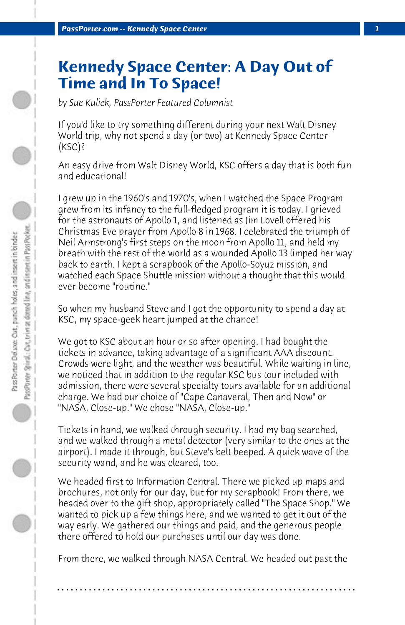## **Kennedy Space Center: A Day Out of Time and In To Space!**

*by Sue Kulick, PassPorter Featured Columnist*

If you'd like to try something different during your next Walt Disney World trip, why not spend a day (or two) at Kennedy Space Center (KSC)?

An easy drive from Walt Disney World, KSC offers a day that is both fun and educational!

I grew up in the 1960's and 1970's, when I watched the Space Program grew from its infancy to the full-fledged program it is today. I grieved for the astronauts of Apollo 1, and listened as Jim Lovell offered his Christmas Eve prayer from Apollo 8 in 1968. I celebrated the triumph of Neil Armstrong's first steps on the moon from Apollo 11, and held my breath with the rest of the world as a wounded Apollo 13 limped her way back to earth. I kept a scrapbook of the Apollo-Soyuz mission, and watched each Space Shuttle mission without a thought that this would ever become "routine."

So when my husband Steve and I got the opportunity to spend a day at KSC, my space-geek heart jumped at the chance!

We got to KSC about an hour or so after opening. I had bought the tickets in advance, taking advantage of a significant AAA discount. Crowds were light, and the weather was beautiful. While waiting in line, we noticed that in addition to the regular KSC bus tour included with admission, there were several specialty tours available for an additional charge. We had our choice of "Cape Canaveral, Then and Now" or "NASA, Close-up." We chose "NASA, Close-up."

Tickets in hand, we walked through security. I had my bag searched, and we walked through a metal detector (very similar to the ones at the airport). I made it through, but Steve's belt beeped. A quick wave of the security wand, and he was cleared, too.

We headed first to Information Central. There we picked up maps and brochures, not only for our day, but for my scrapbook! From there, we headed over to the gift shop, appropriately called "The Space Shop." We wanted to pick up a few things here, and we wanted to get it out of the way early. We gathered our things and paid, and the generous people there offered to hold our purchases until our day was done.

From there, we walked through NASA Central. We headed out past the

**. . . . . . . . . . . . . . . . . . . . . . . . . . . . . . . . . . . . . . . . . . . . . . . . . . . . . . . . . . . . . . . . . .**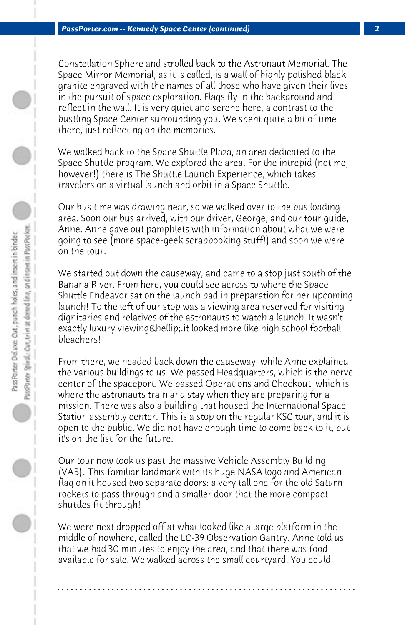Constellation Sphere and strolled back to the Astronaut Memorial. The Space Mirror Memorial, as it is called, is a wall of highly polished black granite engraved with the names of all those who have given their lives in the pursuit of space exploration. Flags fly in the background and reflect in the wall. It is very quiet and serene here, a contrast to the bustling Space Center surrounding you. We spent quite a bit of time there, just reflecting on the memories.

We walked back to the Space Shuttle Plaza, an area dedicated to the Space Shuttle program. We explored the area. For the intrepid (not me, however!) there is The Shuttle Launch Experience, which takes travelers on a virtual launch and orbit in a Space Shuttle.

Our bus time was drawing near, so we walked over to the bus loading area. Soon our bus arrived, with our driver, George, and our tour guide, Anne. Anne gave out pamphlets with information about what we were going to see (more space-geek scrapbooking stuff!) and soon we were on the tour.

We started out down the causeway, and came to a stop just south of the Banana River. From here, you could see across to where the Space Shuttle Endeavor sat on the launch pad in preparation for her upcoming launch! To the left of our stop was a viewing area reserved for visiting dignitaries and relatives of the astronauts to watch a launch. It wasn't exactly luxury viewing & hellip; it looked more like high school football bleachers!

From there, we headed back down the causeway, while Anne explained the various buildings to us. We passed Headquarters, which is the nerve center of the spaceport. We passed Operations and Checkout, which is where the astronauts train and stay when they are preparing for a mission. There was also a building that housed the International Space Station assembly center. This is a stop on the regular KSC tour, and it is open to the public. We did not have enough time to come back to it, but it's on the list for the future.

Our tour now took us past the massive Vehicle Assembly Building (VAB). This familiar landmark with its huge NASA logo and American flag on it housed two separate doors: a very tall one for the old Saturn rockets to pass through and a smaller door that the more compact shuttles fit through!

We were next dropped off at what looked like a large platform in the middle of nowhere, called the LC-39 Observation Gantry. Anne told us that we had 30 minutes to enjoy the area, and that there was food available for sale. We walked across the small courtyard. You could

**. . . . . . . . . . . . . . . . . . . . . . . . . . . . . . . . . . . . . . . . . . . . . . . . . . . . . . . . . . . . . . . . . .**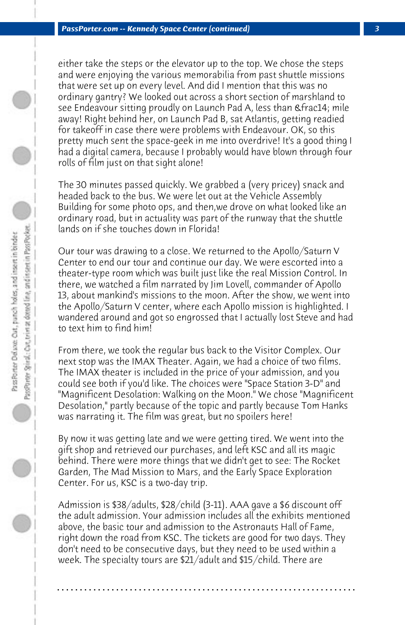either take the steps or the elevator up to the top. We chose the steps and were enjoying the various memorabilia from past shuttle missions that were set up on every level. And did I mention that this was no ordinary gantry? We looked out across a short section of marshland to see Endeavour sitting proudly on Launch Pad A, less than & frac14; mile away! Right behind her, on Launch Pad B, sat Atlantis, getting readied for takeoff in case there were problems with Endeavour. OK, so this pretty much sent the space-geek in me into overdrive! It's a good thing I had a digital camera, because I probably would have blown through four rolls of film just on that sight alone!

The 30 minutes passed quickly. We grabbed a (very pricey) snack and headed back to the bus. We were let out at the Vehicle Assembly Building for some photo ops, and then,we drove on what looked like an ordinary road, but in actuality was part of the runway that the shuttle lands on if she touches down in Florida!

Our tour was drawing to a close. We returned to the Apollo/Saturn V Center to end our tour and continue our day. We were escorted into a theater-type room which was built just like the real Mission Control. In there, we watched a film narrated by Jim Lovell, commander of Apollo 13, about mankind's missions to the moon. After the show, we went into the Apollo/Saturn V center, where each Apollo mission is highlighted. I wandered around and got so engrossed that I actually lost Steve and had to text him to find him!

From there, we took the regular bus back to the Visitor Complex. Our next stop was the IMAX Theater. Again, we had a choice of two films. The IMAX theater is included in the price of your admission, and you could see both if you'd like. The choices were "Space Station 3-D" and "Magnificent Desolation: Walking on the Moon." We chose "Magnificent Desolation," partly because of the topic and partly because Tom Hanks was narrating it. The film was great, but no spoilers here!

By now it was getting late and we were getting tired. We went into the gift shop and retrieved our purchases, and left KSC and all its magic behind. There were more things that we didn't get to see: The Rocket Garden, The Mad Mission to Mars, and the Early Space Exploration Center. For us, KSC is a two-day trip.

Admission is \$38/adults, \$28/child (3-11). AAA gave a \$6 discount off the adult admission. Your admission includes all the exhibits mentioned above, the basic tour and admission to the Astronauts Hall of Fame, right down the road from KSC. The tickets are good for two days. They don't need to be consecutive days, but they need to be used within a week. The specialty tours are \$21/adult and \$15/child. There are

**. . . . . . . . . . . . . . . . . . . . . . . . . . . . . . . . . . . . . . . . . . . . . . . . . . . . . . . . . . . . . . . . . .**